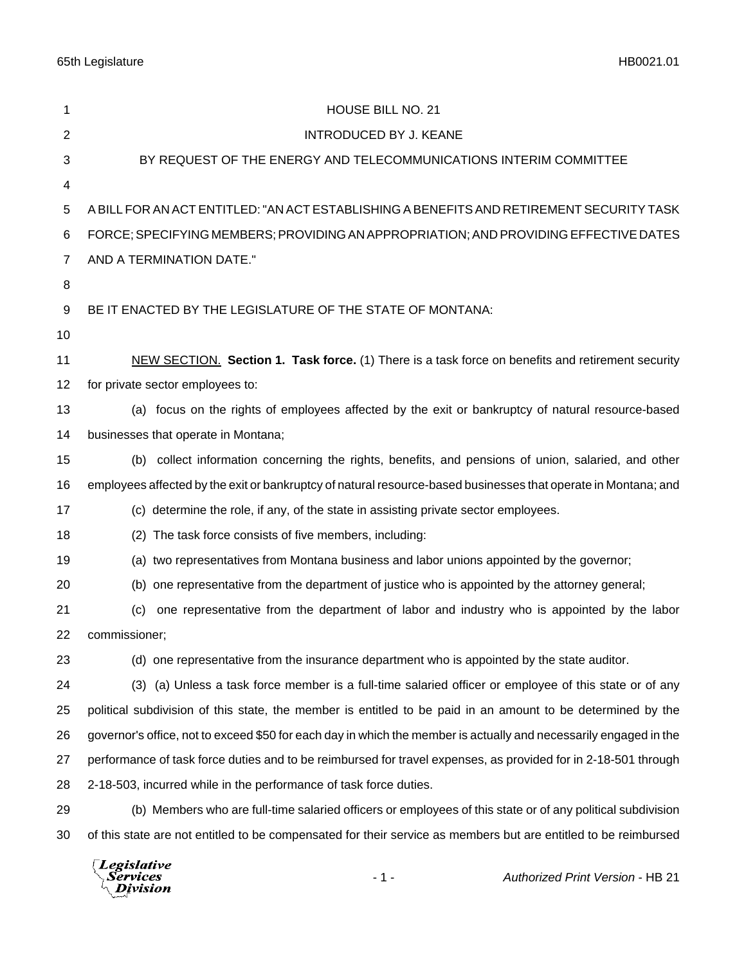65th Legislature HB0021.01

| $\overline{2}$<br>3<br>4<br>5 | <b>INTRODUCED BY J. KEANE</b><br>BY REQUEST OF THE ENERGY AND TELECOMMUNICATIONS INTERIM COMMITTEE<br>A BILL FOR AN ACT ENTITLED: "AN ACT ESTABLISHING A BENEFITS AND RETIREMENT SECURITY TASK<br>FORCE; SPECIFYING MEMBERS; PROVIDING AN APPROPRIATION; AND PROVIDING EFFECTIVE DATES |  |
|-------------------------------|----------------------------------------------------------------------------------------------------------------------------------------------------------------------------------------------------------------------------------------------------------------------------------------|--|
|                               |                                                                                                                                                                                                                                                                                        |  |
|                               |                                                                                                                                                                                                                                                                                        |  |
|                               |                                                                                                                                                                                                                                                                                        |  |
|                               |                                                                                                                                                                                                                                                                                        |  |
| 6                             |                                                                                                                                                                                                                                                                                        |  |
| 7                             | AND A TERMINATION DATE."                                                                                                                                                                                                                                                               |  |
| 8                             |                                                                                                                                                                                                                                                                                        |  |
| 9                             | BE IT ENACTED BY THE LEGISLATURE OF THE STATE OF MONTANA:                                                                                                                                                                                                                              |  |
| 10                            |                                                                                                                                                                                                                                                                                        |  |
| 11                            | NEW SECTION. Section 1. Task force. (1) There is a task force on benefits and retirement security                                                                                                                                                                                      |  |
| 12                            | for private sector employees to:                                                                                                                                                                                                                                                       |  |
| 13                            | (a) focus on the rights of employees affected by the exit or bankruptcy of natural resource-based                                                                                                                                                                                      |  |
| 14                            | businesses that operate in Montana;                                                                                                                                                                                                                                                    |  |
| 15                            | (b) collect information concerning the rights, benefits, and pensions of union, salaried, and other                                                                                                                                                                                    |  |
| 16                            | employees affected by the exit or bankruptcy of natural resource-based businesses that operate in Montana; and                                                                                                                                                                         |  |
| 17                            | (c) determine the role, if any, of the state in assisting private sector employees.                                                                                                                                                                                                    |  |
| 18                            | (2) The task force consists of five members, including:                                                                                                                                                                                                                                |  |
| 19                            | (a) two representatives from Montana business and labor unions appointed by the governor;                                                                                                                                                                                              |  |
| 20                            | (b) one representative from the department of justice who is appointed by the attorney general;                                                                                                                                                                                        |  |
| 21                            | one representative from the department of labor and industry who is appointed by the labor<br>(c)                                                                                                                                                                                      |  |
| 22                            | commissioner;                                                                                                                                                                                                                                                                          |  |
| 23                            | (d) one representative from the insurance department who is appointed by the state auditor.                                                                                                                                                                                            |  |
| 24                            | (3) (a) Unless a task force member is a full-time salaried officer or employee of this state or of any                                                                                                                                                                                 |  |
| 25                            | political subdivision of this state, the member is entitled to be paid in an amount to be determined by the                                                                                                                                                                            |  |
| 26                            | governor's office, not to exceed \$50 for each day in which the member is actually and necessarily engaged in the                                                                                                                                                                      |  |
| 27                            | performance of task force duties and to be reimbursed for travel expenses, as provided for in 2-18-501 through                                                                                                                                                                         |  |
| 28                            | 2-18-503, incurred while in the performance of task force duties.                                                                                                                                                                                                                      |  |
| 29                            | (b) Members who are full-time salaried officers or employees of this state or of any political subdivision                                                                                                                                                                             |  |
| 30                            | of this state are not entitled to be compensated for their service as members but are entitled to be reimbursed                                                                                                                                                                        |  |

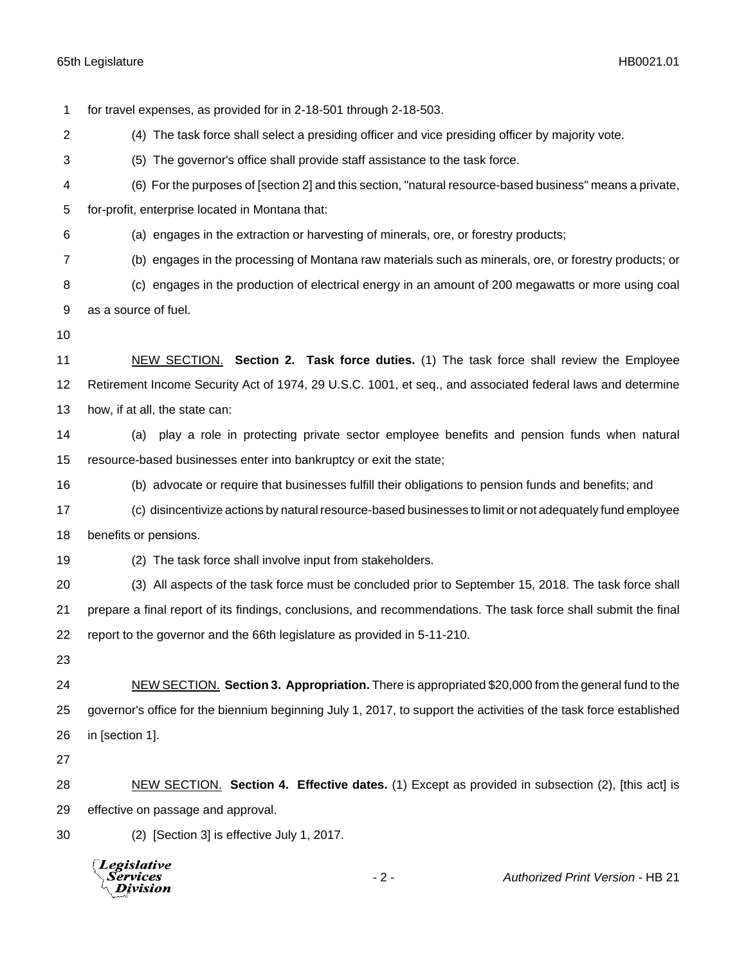**Division** 

 for travel expenses, as provided for in 2-18-501 through 2-18-503. (4) The task force shall select a presiding officer and vice presiding officer by majority vote. (5) The governor's office shall provide staff assistance to the task force. (6) For the purposes of [section 2] and this section, "natural resource-based business" means a private, for-profit, enterprise located in Montana that: (a) engages in the extraction or harvesting of minerals, ore, or forestry products; (b) engages in the processing of Montana raw materials such as minerals, ore, or forestry products; or (c) engages in the production of electrical energy in an amount of 200 megawatts or more using coal as a source of fuel. **NEW SECTION. Section 2. Task force duties.** (1) The task force shall review the Employee Retirement Income Security Act of 1974, 29 U.S.C. 1001, et seq., and associated federal laws and determine how, if at all, the state can: (a) play a role in protecting private sector employee benefits and pension funds when natural resource-based businesses enter into bankruptcy or exit the state; (b) advocate or require that businesses fulfill their obligations to pension funds and benefits; and (c) disincentivize actions by natural resource-based businesses to limit or not adequately fund employee benefits or pensions. (2) The task force shall involve input from stakeholders. (3) All aspects of the task force must be concluded prior to September 15, 2018. The task force shall prepare a final report of its findings, conclusions, and recommendations. The task force shall submit the final report to the governor and the 66th legislature as provided in 5-11-210. NEW SECTION. **Section 3. Appropriation.** There is appropriated \$20,000 from the general fund to the governor's office for the biennium beginning July 1, 2017, to support the activities of the task force established in [section 1]. NEW SECTION. **Section 4. Effective dates.** (1) Except as provided in subsection (2), [this act] is effective on passage and approval. (2) [Section 3] is effective July 1, 2017. **Legislative** Services - 2 - *Authorized Print Version* - HB 21